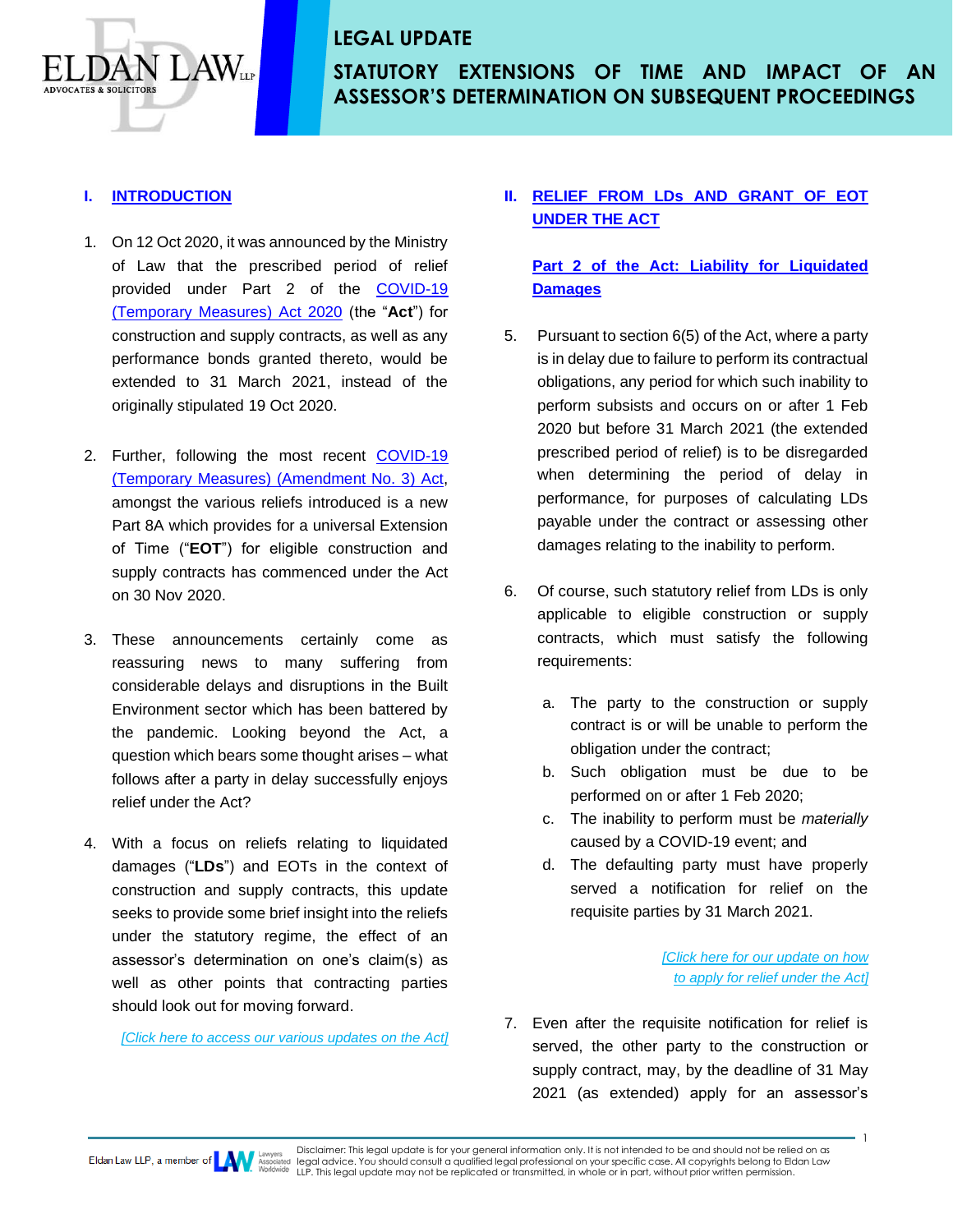# **STATUTORY EXTENSIONS OF TIME AND IMPACT OF AN ASSESSOR'S DETERMINATION ON SUBSEQUENT PROCEEDINGS**

#### **I. INTRODUCTION**

 $\Delta N_{\scriptscriptstyle{\rm LP}}$ 

- 1. On 12 Oct 2020, it was announced by the Ministry of Law that the prescribed period of relief provided under Part 2 of the [COVID-19](https://sso.agc.gov.sg/Act/COVID19TMA2020#pr6-)  [\(Temporary Measures\) Act 2020](https://sso.agc.gov.sg/Act/COVID19TMA2020#pr6-) (the "**Act**") for construction and supply contracts, as well as any performance bonds granted thereto, would be extended to 31 March 2021, instead of the originally stipulated 19 Oct 2020.
- 2. Further, following the most recent [COVID-19](https://sso.agc.gov.sg/Acts-Supp/37-2020/Published/20201116?DocDate=20201116)  [\(Temporary Measures\) \(Amendment No. 3\) Act,](https://sso.agc.gov.sg/Acts-Supp/37-2020/Published/20201116?DocDate=20201116) amongst the various reliefs introduced is a new Part 8A which provides for a universal Extension of Time ("**EOT**") for eligible construction and supply contracts has commenced under the Act on 30 Nov 2020.
- 3. These announcements certainly come as reassuring news to many suffering from considerable delays and disruptions in the Built Environment sector which has been battered by the pandemic. Looking beyond the Act, a question which bears some thought arises – what follows after a party in delay successfully enjoys relief under the Act?
- 4. With a focus on reliefs relating to liquidated damages ("**LDs**") and EOTs in the context of construction and supply contracts, this update seeks to provide some brief insight into the reliefs under the statutory regime, the effect of an assessor's determination on one's claim(s) as well as other points that contracting parties should look out for moving forward.

*[\[Click here t](http://www.eldanlaw.com/category/our-seminars/)o access our various updates [on the Act\]](http://www.eldanlaw.com/category/our-seminars/)*

#### **II. RELIEF FROM LDs AND GRANT OF EOT UNDER THE ACT**

### **Part 2 of the Act: Liability for Liquidated Damages**

- 5. Pursuant to section 6(5) of the Act, where a party is in delay due to failure to perform its contractual obligations, any period for which such inability to perform subsists and occurs on or after 1 Feb 2020 but before 31 March 2021 (the extended prescribed period of relief) is to be disregarded when determining the period of delay in performance, for purposes of calculating LDs payable under the contract or assessing other damages relating to the inability to perform.
- 6. Of course, such statutory relief from LDs is only applicable to eligible construction or supply contracts, which must satisfy the following requirements:
	- a. The party to the construction or supply contract is or will be unable to perform the obligation under the contract;
	- b. Such obligation must be due to be performed on or after 1 Feb 2020;
	- c. The inability to perform must be *materially* caused by a COVID-19 event; and
	- d. The defaulting party must have properly served a notification for relief on the requisite parties by 31 March 2021.

*[Click here for our [update on how](http://www.eldanlaw.com/how-to-apply-for-temporary-relief-under-the-covid-19-temporary-measures-act/)  [to apply for relief under the Act\]](http://www.eldanlaw.com/how-to-apply-for-temporary-relief-under-the-covid-19-temporary-measures-act/)*

**1** 

7. Even after the requisite notification for relief is served, the other party to the construction or supply contract, may, by the deadline of 31 May 2021 (as extended) apply for an assessor's

Disclaimer: This legal update is for your general information only. It is not intended to be and should not be relied on as<br>legal advice. You should consult a qualified legal professional on your specific case. All copyrig Eldan Law LLP, a member of **EXAM** Associated legal advice. You should consult a qualified legal professional on your specific cuse. All experiments in whole or in part, without prior written permission.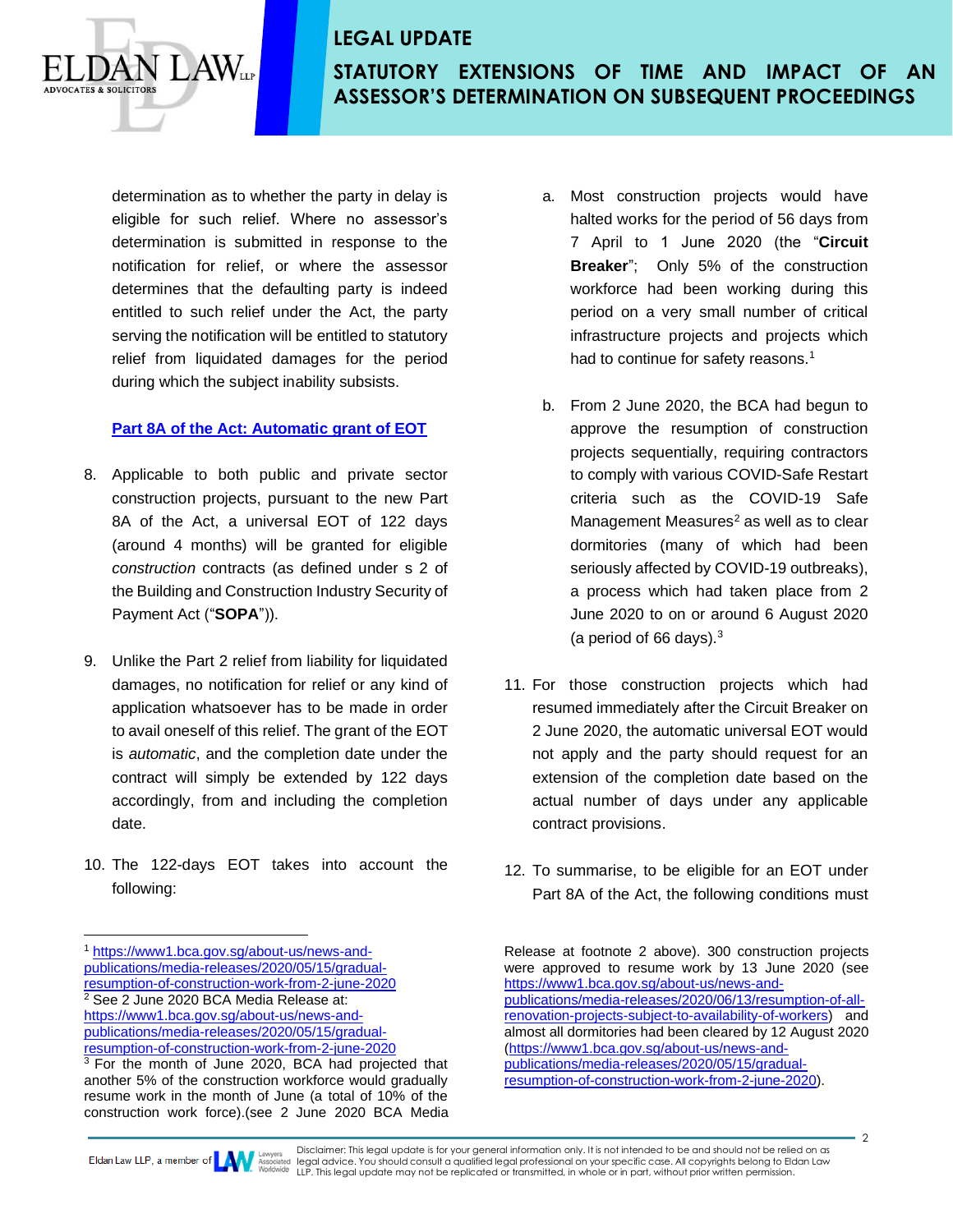# **STATUTORY EXTENSIONS OF TIME AND IMPACT OF AN ASSESSOR'S DETERMINATION ON SUBSEQUENT PROCEEDINGS**

determination as to whether the party in delay is eligible for such relief. Where no assessor's determination is submitted in response to the notification for relief, or where the assessor determines that the defaulting party is indeed entitled to such relief under the Act, the party serving the notification will be entitled to statutory relief from liquidated damages for the period during which the subject inability subsists.

 $\Delta W_{\tiny \rm LIP}$ 

#### **Part 8A of the Act: Automatic grant of EOT**

- 8. Applicable to both public and private sector construction projects, pursuant to the new Part 8A of the Act, a universal EOT of 122 days (around 4 months) will be granted for eligible *construction* contracts (as defined under s 2 of the Building and Construction Industry Security of Payment Act ("**SOPA**")).
- 9. Unlike the Part 2 relief from liability for liquidated damages, no notification for relief or any kind of application whatsoever has to be made in order to avail oneself of this relief. The grant of the EOT is *automatic*, and the completion date under the contract will simply be extended by 122 days accordingly, from and including the completion date.
- 10. The 122-days EOT takes into account the following:

<sup>1</sup> [https://www1.bca.gov.sg/about-us/news-and](https://www1.bca.gov.sg/about-us/news-and-publications/media-releases/2020/05/15/gradual-resumption-of-construction-work-from-2-june-2020)[publications/media-releases/2020/05/15/gradual](https://www1.bca.gov.sg/about-us/news-and-publications/media-releases/2020/05/15/gradual-resumption-of-construction-work-from-2-june-2020)[resumption-of-construction-work-from-2-june-2020](https://www1.bca.gov.sg/about-us/news-and-publications/media-releases/2020/05/15/gradual-resumption-of-construction-work-from-2-june-2020) <sup>2</sup> See 2 June 2020 BCA Media Release at: [https://www1.bca.gov.sg/about-us/news-and](https://www1.bca.gov.sg/about-us/news-and-publications/media-releases/2020/05/15/gradual-resumption-of-construction-work-from-2-june-2020)[publications/media-releases/2020/05/15/gradual](https://www1.bca.gov.sg/about-us/news-and-publications/media-releases/2020/05/15/gradual-resumption-of-construction-work-from-2-june-2020)[resumption-of-construction-work-from-2-june-2020](https://www1.bca.gov.sg/about-us/news-and-publications/media-releases/2020/05/15/gradual-resumption-of-construction-work-from-2-june-2020)

- a. Most construction projects would have halted works for the period of 56 days from 7 April to 1 June 2020 (the "**Circuit Breaker**"; Only 5% of the construction workforce had been working during this period on a very small number of critical infrastructure projects and projects which had to continue for safety reasons.<sup>1</sup>
- b. From 2 June 2020, the BCA had begun to approve the resumption of construction projects sequentially, requiring contractors to comply with various COVID-Safe Restart criteria such as the COVID-19 Safe Management Measures $2$  as well as to clear dormitories (many of which had been seriously affected by COVID-19 outbreaks), a process which had taken place from 2 June 2020 to on or around 6 August 2020 (a period of 66 days). $3$
- 11. For those construction projects which had resumed immediately after the Circuit Breaker on 2 June 2020, the automatic universal EOT would not apply and the party should request for an extension of the completion date based on the actual number of days under any applicable contract provisions.
- 12. To summarise, to be eligible for an EOT under Part 8A of the Act, the following conditions must

Disclaimer: This legal update is for your general information only. It is not intended to be and should not be relied on as legal advice. You should consult a qualified legal professional on your specific case. All copyrights belong to Eldan Law Eldan Law LLP, a member of **the property of the conduct of the consult** a qualified legal protessional on your specific case. All experiments in whole or in part, without prior written permission.

<sup>&</sup>lt;sup>3</sup> For the month of June 2020, BCA had projected that another 5% of the construction workforce would gradually resume work in the month of June (a total of 10% of the construction work force).(see 2 June 2020 BCA Media

Release at footnote 2 above). 300 construction projects were approved to resume work by 13 June 2020 (see [https://www1.bca.gov.sg/about-us/news-and](https://www1.bca.gov.sg/about-us/news-and-publications/media-releases/2020/06/13/resumption-of-all-renovation-projects-subject-to-availability-of-workers)[publications/media-releases/2020/06/13/resumption-of-all](https://www1.bca.gov.sg/about-us/news-and-publications/media-releases/2020/06/13/resumption-of-all-renovation-projects-subject-to-availability-of-workers)[renovation-projects-subject-to-availability-of-workers\)](https://www1.bca.gov.sg/about-us/news-and-publications/media-releases/2020/06/13/resumption-of-all-renovation-projects-subject-to-availability-of-workers) and almost all dormitories had been cleared by 12 August 2020 [\(https://www1.bca.gov.sg/about-us/news-and](https://www1.bca.gov.sg/about-us/news-and-publications/media-releases/2020/05/15/gradual-resumption-of-construction-work-from-2-june-2020)[publications/media-releases/2020/05/15/gradual](https://www1.bca.gov.sg/about-us/news-and-publications/media-releases/2020/05/15/gradual-resumption-of-construction-work-from-2-june-2020)[resumption-of-construction-work-from-2-june-2020\)](https://www1.bca.gov.sg/about-us/news-and-publications/media-releases/2020/05/15/gradual-resumption-of-construction-work-from-2-june-2020).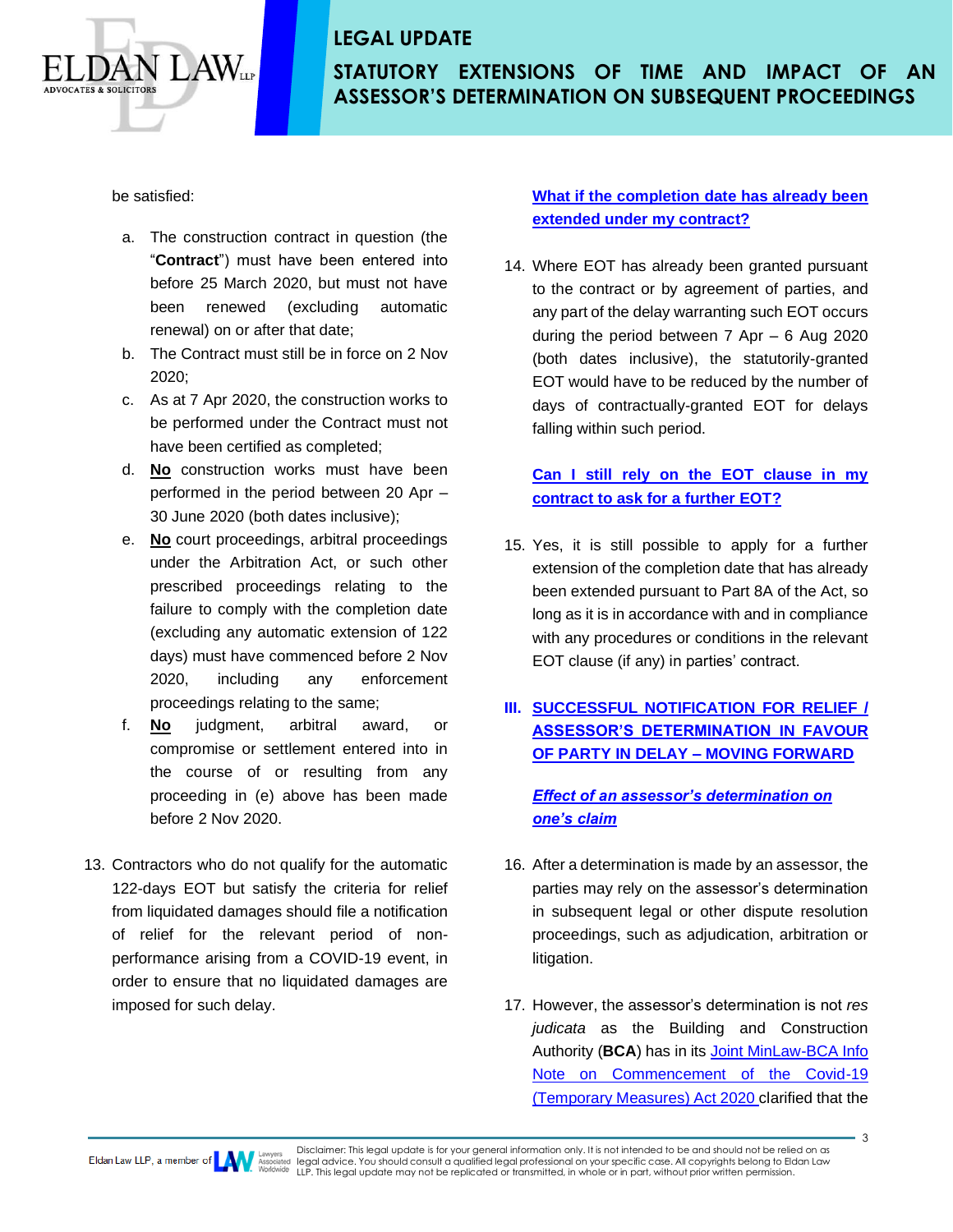

**STATUTORY EXTENSIONS OF TIME AND IMPACT OF AN ASSESSOR'S DETERMINATION ON SUBSEQUENT PROCEEDINGS**

be satisfied:

- a. The construction contract in question (the "**Contract**") must have been entered into before 25 March 2020, but must not have been renewed (excluding automatic renewal) on or after that date;
- b. The Contract must still be in force on 2 Nov 2020;
- c. As at 7 Apr 2020, the construction works to be performed under the Contract must not have been certified as completed;
- d. **No** construction works must have been performed in the period between 20 Apr – 30 June 2020 (both dates inclusive);
- e. **No** court proceedings, arbitral proceedings under the Arbitration Act, or such other prescribed proceedings relating to the failure to comply with the completion date (excluding any automatic extension of 122 days) must have commenced before 2 Nov 2020, including any enforcement proceedings relating to the same;
- f. **No** judgment, arbitral award, or compromise or settlement entered into in the course of or resulting from any proceeding in (e) above has been made before 2 Nov 2020.
- 13. Contractors who do not qualify for the automatic 122-days EOT but satisfy the criteria for relief from liquidated damages should file a notification of relief for the relevant period of nonperformance arising from a COVID-19 event, in order to ensure that no liquidated damages are imposed for such delay.

### **What if the completion date has already been extended under my contract?**

14. Where EOT has already been granted pursuant to the contract or by agreement of parties, and any part of the delay warranting such EOT occurs during the period between 7 Apr – 6 Aug 2020 (both dates inclusive), the statutorily-granted EOT would have to be reduced by the number of days of contractually-granted EOT for delays falling within such period.

#### **Can I still rely on the EOT clause in my contract to ask for a further EOT?**

15. Yes, it is still possible to apply for a further extension of the completion date that has already been extended pursuant to Part 8A of the Act, so long as it is in accordance with and in compliance with any procedures or conditions in the relevant EOT clause (if any) in parties' contract.

## **III. SUCCESSFUL NOTIFICATION FOR RELIEF / ASSESSOR'S DETERMINATION IN FAVOUR OF PARTY IN DELAY – MOVING FORWARD**

#### *Effect of an assessor's determination on one's claim*

- 16. After a determination is made by an assessor, the parties may rely on the assessor's determination in subsequent legal or other dispute resolution proceedings, such as adjudication, arbitration or litigation.
- 17. However, the assessor's determination is not *res judicata* as the Building and Construction Authority (**BCA**) has in its [Joint MinLaw-BCA Info](https://www1.bca.gov.sg/docs/default-source/docs-corp-news-and-publications/circulars/commencement-covid19-temporary-measures-act-for-built-environment.pdf)  [Note on Commencement of the Covid-19](https://www1.bca.gov.sg/docs/default-source/docs-corp-news-and-publications/circulars/commencement-covid19-temporary-measures-act-for-built-environment.pdf)  [\(Temporary Measures\) Act 2020](https://www1.bca.gov.sg/docs/default-source/docs-corp-news-and-publications/circulars/commencement-covid19-temporary-measures-act-for-built-environment.pdf) clarified that the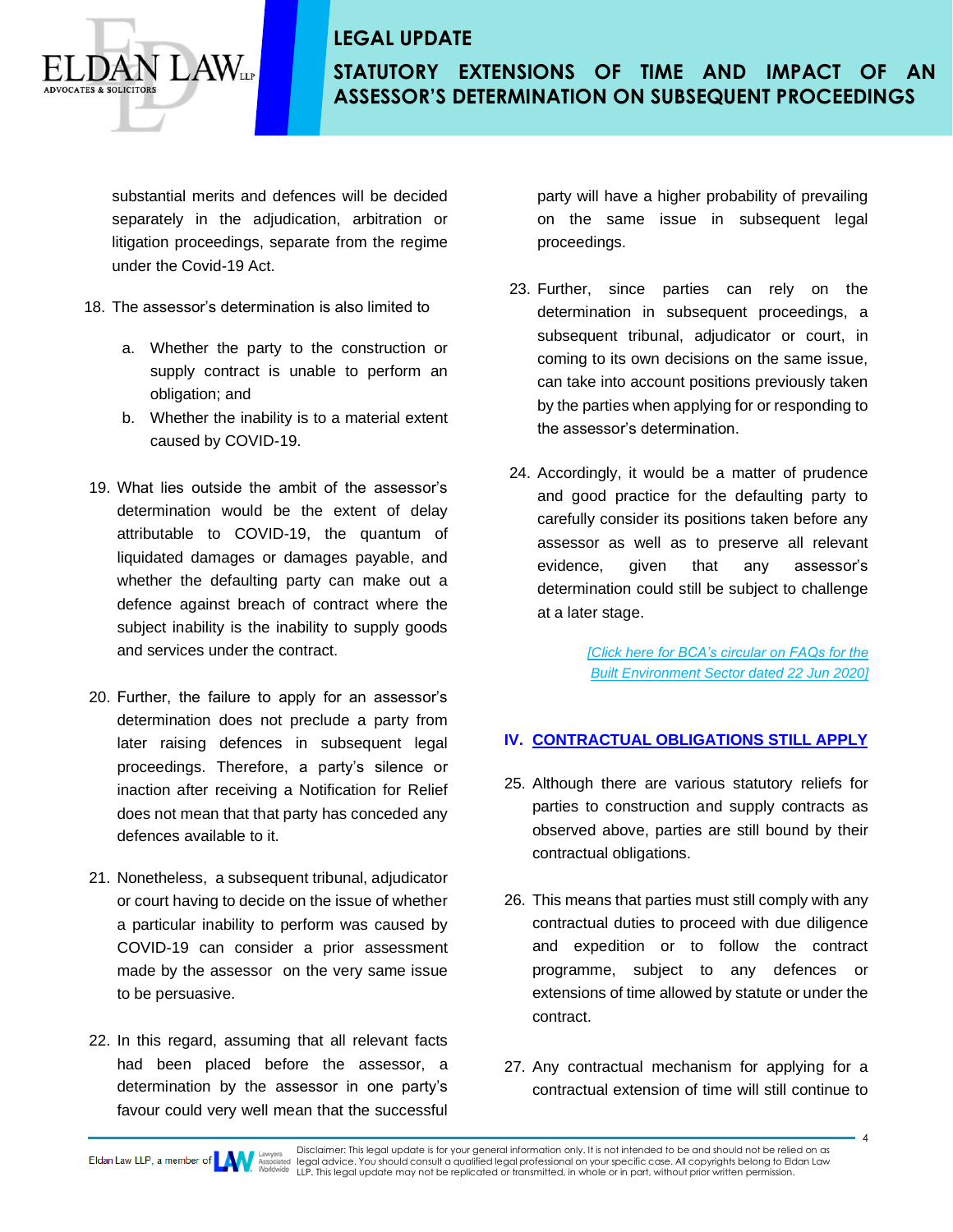**STATUTORY EXTENSIONS OF TIME AND IMPACT OF AN ASSESSOR'S DETERMINATION ON SUBSEQUENT PROCEEDINGS**

substantial merits and defences will be decided separately in the adjudication, arbitration or litigation proceedings, separate from the regime under the Covid-19 Act.

18. The assessor's determination is also limited to

 $\Delta N_{\scriptscriptstyle{\rm LP}}$ 

- a. Whether the party to the construction or supply contract is unable to perform an obligation; and
- b. Whether the inability is to a material extent caused by COVID-19.
- 19. What lies outside the ambit of the assessor's determination would be the extent of delay attributable to COVID-19, the quantum of liquidated damages or damages payable, and whether the defaulting party can make out a defence against breach of contract where the subject inability is the inability to supply goods and services under the contract.
- 20. Further, the failure to apply for an assessor's determination does not preclude a party from later raising defences in subsequent legal proceedings. Therefore, a party's silence or inaction after receiving a Notification for Relief does not mean that that party has conceded any defences available to it.
- 21. Nonetheless, a subsequent tribunal, adjudicator or court having to decide on the issue of whether a particular inability to perform was caused by COVID-19 can consider a prior assessment made by the assessor on the very same issue to be persuasive.
- 22. In this regard, assuming that all relevant facts had been placed before the assessor, a determination by the assessor in one party's favour could very well mean that the successful

party will have a higher probability of prevailing on the same issue in subsequent legal proceedings.

- 23. Further, since parties can rely on the determination in subsequent proceedings, a subsequent tribunal, adjudicator or court, in coming to its own decisions on the same issue, can take into account positions previously taken by the parties when applying for or responding to the assessor's determination.
- 24. Accordingly, it would be a matter of prudence and good practice for the defaulting party to carefully consider its positions taken before any assessor as well as to preserve all relevant evidence, given that any assessor's determination could still be subject to challenge at a later stage.

*[\[Click here f](https://www1.bca.gov.sg/docs/default-source/docs-corp-news-and-publications/faqs---covid19/faqs-commencement-covid19-temporary-measures-act-for-built-environment.pdf)or BCA's circular on FAQs for the Built Environment Sector dated 22 Jun 2020]*

#### **IV. CONTRACTUAL OBLIGATIONS STILL APPLY**

- 25. Although there are various statutory reliefs for parties to construction and supply contracts as observed above, parties are still bound by their contractual obligations.
- 26. This means that parties must still comply with any contractual duties to proceed with due diligence and expedition or to follow the contract programme, subject to any defences or extensions of time allowed by statute or under the contract.
- 27. Any contractual mechanism for applying for a contractual extension of time will still continue to

4